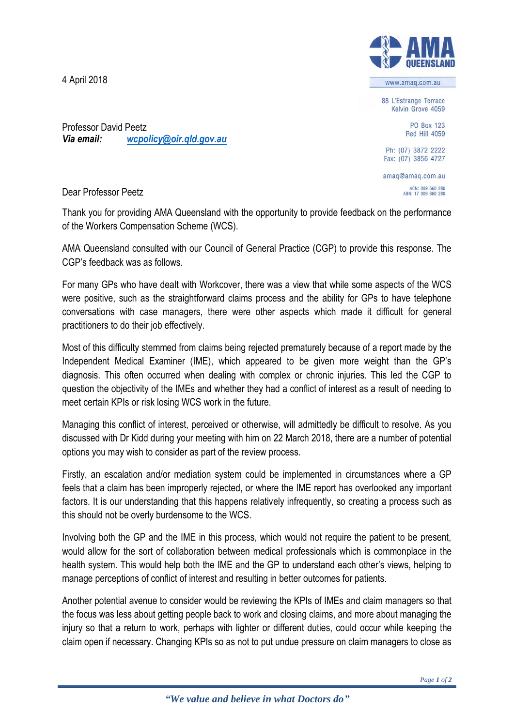4 April 2018



www.amag.com.au

88 L'Estrange Terrace Kelvin Grove 4059

> **PO Box 123 Red Hill 4059**

Ph: (07) 3872 2222 Fax: (07) 3856 4727

amaq@amaq.com.au ACN: 009 660 280<br>ABN: 17 009 660 280

Professor David Peetz *Via email: [wcpolicy@oir.qld.gov.au](mailto:wcpolicy@oir.qld.gov.au)*

Dear Professor Peetz

Thank you for providing AMA Queensland with the opportunity to provide feedback on the performance of the Workers Compensation Scheme (WCS).

AMA Queensland consulted with our Council of General Practice (CGP) to provide this response. The CGP's feedback was as follows.

For many GPs who have dealt with Workcover, there was a view that while some aspects of the WCS were positive, such as the straightforward claims process and the ability for GPs to have telephone conversations with case managers, there were other aspects which made it difficult for general practitioners to do their job effectively.

Most of this difficulty stemmed from claims being rejected prematurely because of a report made by the Independent Medical Examiner (IME), which appeared to be given more weight than the GP's diagnosis. This often occurred when dealing with complex or chronic injuries. This led the CGP to question the objectivity of the IMEs and whether they had a conflict of interest as a result of needing to meet certain KPIs or risk losing WCS work in the future.

Managing this conflict of interest, perceived or otherwise, will admittedly be difficult to resolve. As you discussed with Dr Kidd during your meeting with him on 22 March 2018, there are a number of potential options you may wish to consider as part of the review process.

Firstly, an escalation and/or mediation system could be implemented in circumstances where a GP feels that a claim has been improperly rejected, or where the IME report has overlooked any important factors. It is our understanding that this happens relatively infrequently, so creating a process such as this should not be overly burdensome to the WCS.

Involving both the GP and the IME in this process, which would not require the patient to be present, would allow for the sort of collaboration between medical professionals which is commonplace in the health system. This would help both the IME and the GP to understand each other's views, helping to manage perceptions of conflict of interest and resulting in better outcomes for patients.

Another potential avenue to consider would be reviewing the KPIs of IMEs and claim managers so that the focus was less about getting people back to work and closing claims, and more about managing the injury so that a return to work, perhaps with lighter or different duties, could occur while keeping the claim open if necessary. Changing KPIs so as not to put undue pressure on claim managers to close as

*"We value and believe in what Doctors do"*